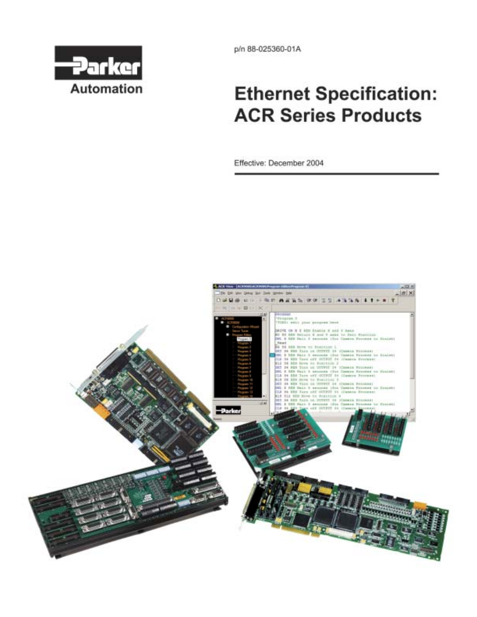

p/n 88-025360-01A

# **Ethernet Specification: ACR Series Products**

Effective: December 2004

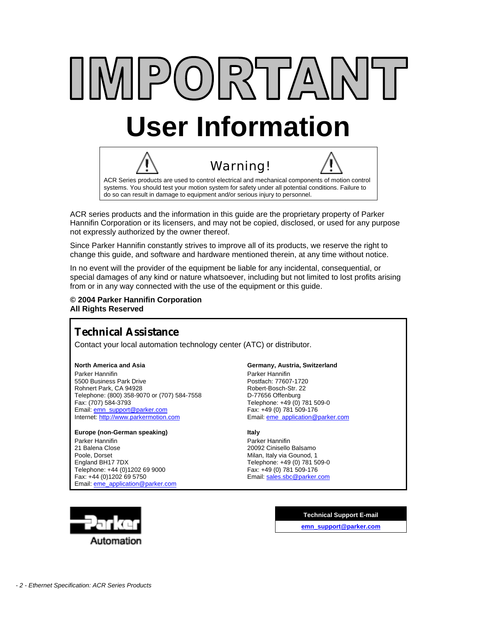# IMPORTAN' **User Information**



ACR series products and the information in this guide are the proprietary property of Parker Hannifin Corporation or its licensers, and may not be copied, disclosed, or used for any purpose not expressly authorized by the owner thereof.

Since Parker Hannifin constantly strives to improve all of its products, we reserve the right to change this guide, and software and hardware mentioned therein, at any time without notice.

In no event will the provider of the equipment be liable for any incidental, consequential, or special damages of any kind or nature whatsoever, including but not limited to lost profits arising from or in any way connected with the use of the equipment or this guide.

#### **© 2004 Parker Hannifin Corporation All Rights Reserved**

## **Technical Assistance**

Contact your local automation technology center (ATC) or distributor.

#### **North America and Asia**

Parker Hannifin 5500 Business Park Drive Rohnert Park, CA 94928 Telephone: (800) 358-9070 or (707) 584-7558 Fax: (707) 584-3793 Email: [emn\\_support@parker.com](mailto:emn_support@parker.com) Internet: [http://www.parkermotion.com](http://www.parker.com/)

#### **Europe (non-German speaking)**

Parker Hannifin 21 Balena Close Poole, Dorset England BH17 7DX Telephone: +44 (0)1202 69 9000 Fax: +44 (0)1202 69 5750 Email: [eme\\_application@parker.com](mailto:eme_application@parker.com)

#### **Germany, Austria, Switzerland**

Parker Hannifin Postfach: 77607-1720 Robert-Bosch-Str. 22 D-77656 Offenburg Telephone: +49 (0) 781 509-0 Fax: +49 (0) 781 509-176 Email: [eme\\_application@parker.com](mailto:eme_application@parker.com)

#### **Italy**

Parker Hannifin 20092 Cinisello Balsamo Milan, Italy via Gounod, 1 Telephone: +49 (0) 781 509-0 Fax: +49 (0) 781 509-176 Email: [sales.sbc@parker.com](mailto:sales.sbc@parker.com)



**Technical Support E-mail [emn\\_support@parker.com](mailto:emn_support@parker.com)**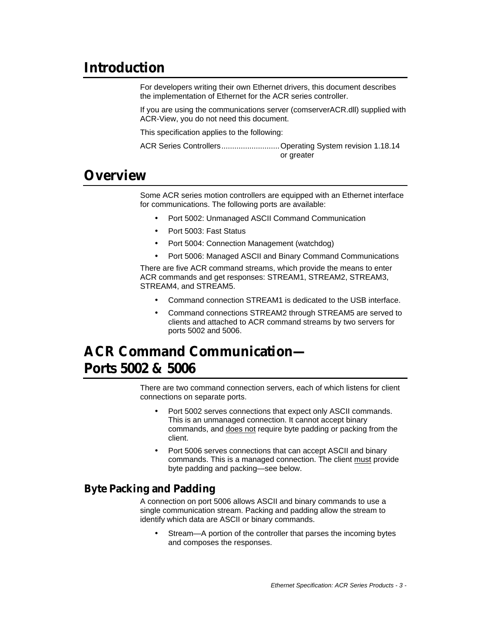## **Introduction**

For developers writing their own Ethernet drivers, this document describes the implementation of Ethernet for the ACR series controller.

If you are using the communications server (comserverACR.dll) supplied with ACR-View, you do not need this document.

This specification applies to the following:

ACR Series Controllers...........................Operating System revision 1.18.14 or greater

## **Overview**

Some ACR series motion controllers are equipped with an Ethernet interface for communications. The following ports are available:

- Port 5002: Unmanaged ASCII Command Communication
- Port 5003: Fast Status
- Port 5004: Connection Management (watchdog)
- Port 5006: Managed ASCII and Binary Command Communications

There are five ACR command streams, which provide the means to enter ACR commands and get responses: STREAM1, STREAM2, STREAM3, STREAM4, and STREAM5.

- Command connection STREAM1 is dedicated to the USB interface.
- Command connections STREAM2 through STREAM5 are served to clients and attached to ACR command streams by two servers for ports 5002 and 5006.

# **ACR Command Communication— Ports 5002 & 5006**

There are two command connection servers, each of which listens for client connections on separate ports.

- Port 5002 serves connections that expect only ASCII commands. This is an unmanaged connection. It cannot accept binary commands, and does not require byte padding or packing from the client.
- Port 5006 serves connections that can accept ASCII and binary commands. This is a managed connection. The client must provide byte padding and packing—see below.

## **Byte Packing and Padding**

A connection on port 5006 allows ASCII and binary commands to use a single communication stream. Packing and padding allow the stream to identify which data are ASCII or binary commands.

• Stream—A portion of the controller that parses the incoming bytes and composes the responses.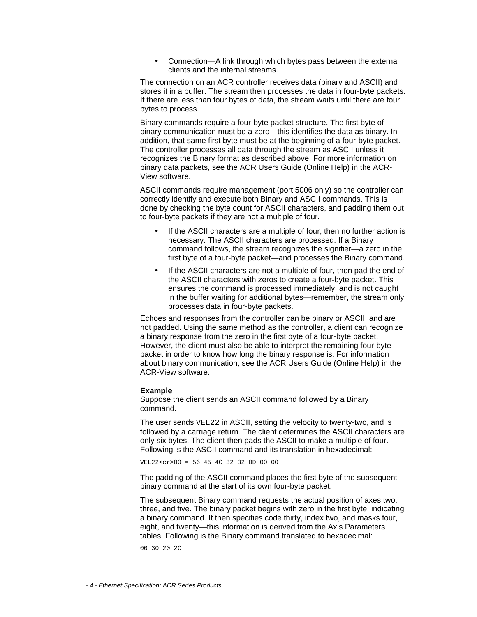• Connection—A link through which bytes pass between the external clients and the internal streams.

The connection on an ACR controller receives data (binary and ASCII) and stores it in a buffer. The stream then processes the data in four-byte packets. If there are less than four bytes of data, the stream waits until there are four bytes to process.

Binary commands require a four-byte packet structure. The first byte of binary communication must be a zero—this identifies the data as binary. In addition, that same first byte must be at the beginning of a four-byte packet. The controller processes all data through the stream as ASCII unless it recognizes the Binary format as described above. For more information on binary data packets, see the ACR Users Guide (Online Help) in the ACR-View software.

ASCII commands require management (port 5006 only) so the controller can correctly identify and execute both Binary and ASCII commands. This is done by checking the byte count for ASCII characters, and padding them out to four-byte packets if they are not a multiple of four.

- If the ASCII characters are a multiple of four, then no further action is necessary. The ASCII characters are processed. If a Binary command follows, the stream recognizes the signifier—a zero in the first byte of a four-byte packet—and processes the Binary command.
- If the ASCII characters are not a multiple of four, then pad the end of the ASCII characters with zeros to create a four-byte packet. This ensures the command is processed immediately, and is not caught in the buffer waiting for additional bytes—remember, the stream only processes data in four-byte packets.

Echoes and responses from the controller can be binary or ASCII, and are not padded. Using the same method as the controller, a client can recognize a binary response from the zero in the first byte of a four-byte packet. However, the client must also be able to interpret the remaining four-byte packet in order to know how long the binary response is. For information about binary communication, see the ACR Users Guide (Online Help) in the ACR-View software.

#### **Example**

Suppose the client sends an ASCII command followed by a Binary command.

The user sends VEL22 in ASCII, setting the velocity to twenty-two, and is followed by a carriage return. The client determines the ASCII characters are only six bytes. The client then pads the ASCII to make a multiple of four. Following is the ASCII command and its translation in hexadecimal:

 $VEL22 < cr > 00 = 56454C32320D000$ 

The padding of the ASCII command places the first byte of the subsequent binary command at the start of its own four-byte packet.

The subsequent Binary command requests the actual position of axes two, three, and five. The binary packet begins with zero in the first byte, indicating a binary command. It then specifies code thirty, index two, and masks four, eight, and twenty—this information is derived from the Axis Parameters tables. Following is the Binary command translated to hexadecimal:

00 30 20 2C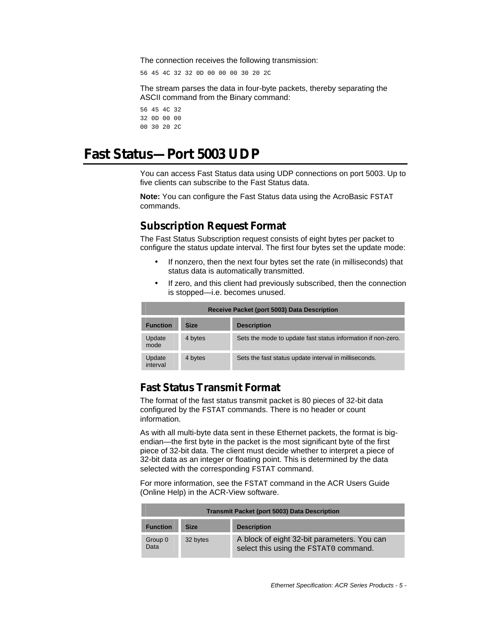The connection receives the following transmission:

56 45 4C 32 32 0D 00 00 00 30 20 2C

The stream parses the data in four-byte packets, thereby separating the ASCII command from the Binary command:

56 45 4C 32 32 0D 00 00 00 30 20 2C

## **Fast Status—Port 5003 UDP**

You can access Fast Status data using UDP connections on port 5003. Up to five clients can subscribe to the Fast Status data.

**Note:** You can configure the Fast Status data using the AcroBasic FSTAT commands.

## **Subscription Request Format**

The Fast Status Subscription request consists of eight bytes per packet to configure the status update interval. The first four bytes set the update mode:

- If nonzero, then the next four bytes set the rate (in milliseconds) that status data is automatically transmitted.
- If zero, and this client had previously subscribed, then the connection is stopped—i.e. becomes unused.

| Receive Packet (port 5003) Data Description |             |                                                              |
|---------------------------------------------|-------------|--------------------------------------------------------------|
| <b>Function</b>                             | <b>Size</b> | <b>Description</b>                                           |
| Update<br>mode                              | 4 bytes     | Sets the mode to update fast status information if non-zero. |
| Update<br>interval                          | 4 bytes     | Sets the fast status update interval in milliseconds.        |

### **Fast Status Transmit Format**

The format of the fast status transmit packet is 80 pieces of 32-bit data configured by the FSTAT commands. There is no header or count information.

As with all multi-byte data sent in these Ethernet packets, the format is bigendian—the first byte in the packet is the most significant byte of the first piece of 32-bit data. The client must decide whether to interpret a piece of 32-bit data as an integer or floating point. This is determined by the data selected with the corresponding FSTAT command.

For more information, see the FSTAT command in the ACR Users Guide (Online Help) in the ACR-View software.

| <b>Transmit Packet (port 5003) Data Description</b> |             |                                                                                      |
|-----------------------------------------------------|-------------|--------------------------------------------------------------------------------------|
| <b>Function</b>                                     | <b>Size</b> | <b>Description</b>                                                                   |
| Group 0<br>Data                                     | 32 bytes    | A block of eight 32-bit parameters. You can<br>select this using the FSTAT0 command. |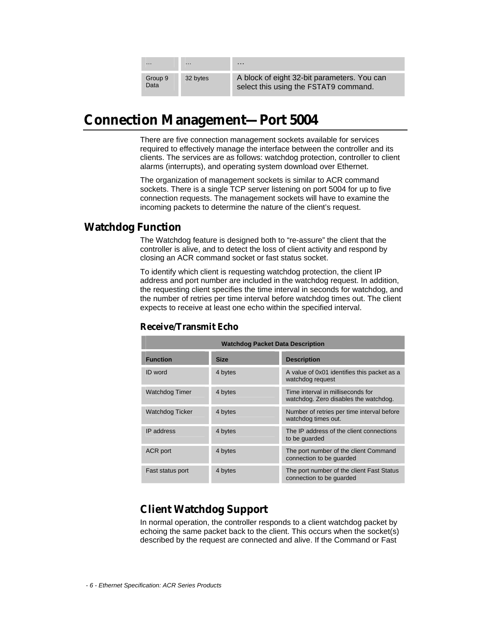| $\cdots$        | $\cdots$ | $\cdots$                                                                             |
|-----------------|----------|--------------------------------------------------------------------------------------|
| Group 9<br>Data | 32 bytes | A block of eight 32-bit parameters. You can<br>select this using the FSTAT9 command. |

## **Connection Management—Port 5004**

There are five connection management sockets available for services required to effectively manage the interface between the controller and its clients. The services are as follows: watchdog protection, controller to client alarms (interrupts), and operating system download over Ethernet.

The organization of management sockets is similar to ACR command sockets. There is a single TCP server listening on port 5004 for up to five connection requests. The management sockets will have to examine the incoming packets to determine the nature of the client's request.

## **Watchdog Function**

The Watchdog feature is designed both to "re-assure" the client that the controller is alive, and to detect the loss of client activity and respond by closing an ACR command socket or fast status socket.

To identify which client is requesting watchdog protection, the client IP address and port number are included in the watchdog request. In addition, the requesting client specifies the time interval in seconds for watchdog, and the number of retries per time interval before watchdog times out. The client expects to receive at least one echo within the specified interval.

| <b>Watchdog Packet Data Description</b> |             |                                                                            |  |
|-----------------------------------------|-------------|----------------------------------------------------------------------------|--|
| <b>Function</b>                         | <b>Size</b> | <b>Description</b>                                                         |  |
| <b>ID</b> word                          | 4 bytes     | A value of 0x01 identifies this packet as a<br>watchdog request            |  |
| <b>Watchdog Timer</b>                   | 4 bytes     | Time interval in milliseconds for<br>watchdog. Zero disables the watchdog. |  |
| Watchdog Ticker                         | 4 bytes     | Number of retries per time interval before<br>watchdog times out.          |  |
| IP address                              | 4 bytes     | The IP address of the client connections<br>to be guarded                  |  |
| ACR port                                | 4 bytes     | The port number of the client Command<br>connection to be guarded          |  |
| Fast status port                        | 4 bytes     | The port number of the client Fast Status<br>connection to be quarded      |  |

### **Receive/Transmit Echo**

## **Client Watchdog Support**

In normal operation, the controller responds to a client watchdog packet by echoing the same packet back to the client. This occurs when the socket(s) described by the request are connected and alive. If the Command or Fast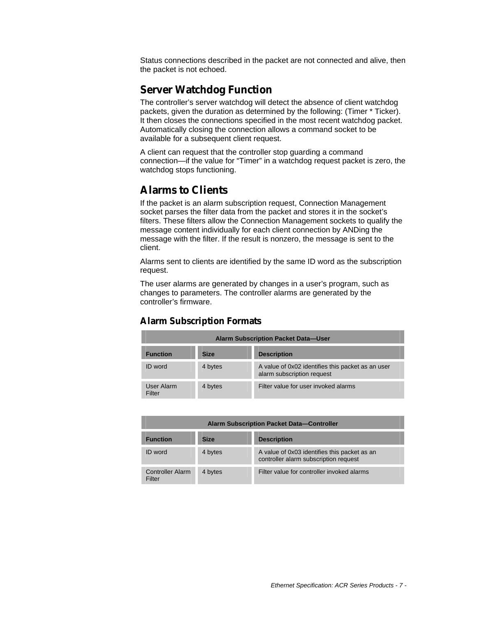Status connections described in the packet are not connected and alive, then the packet is not echoed.

## **Server Watchdog Function**

The controller's server watchdog will detect the absence of client watchdog packets, given the duration as determined by the following: (Timer \* Ticker). It then closes the connections specified in the most recent watchdog packet. Automatically closing the connection allows a command socket to be available for a subsequent client request.

A client can request that the controller stop guarding a command connection—if the value for "Timer" in a watchdog request packet is zero, the watchdog stops functioning.

## **Alarms to Clients**

If the packet is an alarm subscription request, Connection Management socket parses the filter data from the packet and stores it in the socket's filters. These filters allow the Connection Management sockets to qualify the message content individually for each client connection by ANDing the message with the filter. If the result is nonzero, the message is sent to the client.

Alarms sent to clients are identified by the same ID word as the subscription request.

The user alarms are generated by changes in a user's program, such as changes to parameters. The controller alarms are generated by the controller's firmware.

### **Alarm Subscription Formats**

| <b>Alarm Subscription Packet Data-User</b> |             |                                                                                 |
|--------------------------------------------|-------------|---------------------------------------------------------------------------------|
| <b>Function</b>                            | <b>Size</b> | <b>Description</b>                                                              |
| ID word                                    | 4 bytes     | A value of 0x02 identifies this packet as an user<br>alarm subscription request |
| User Alarm<br>Filter                       | 4 bytes     | Filter value for user invoked alarms                                            |

| <b>Alarm Subscription Packet Data-Controller</b> |             |                                                                                       |
|--------------------------------------------------|-------------|---------------------------------------------------------------------------------------|
| <b>Function</b>                                  | <b>Size</b> | <b>Description</b>                                                                    |
| <b>ID</b> word                                   | 4 bytes     | A value of 0x03 identifies this packet as an<br>controller alarm subscription request |
| <b>Controller Alarm</b><br>Filter                | 4 bytes     | Filter value for controller invoked alarms                                            |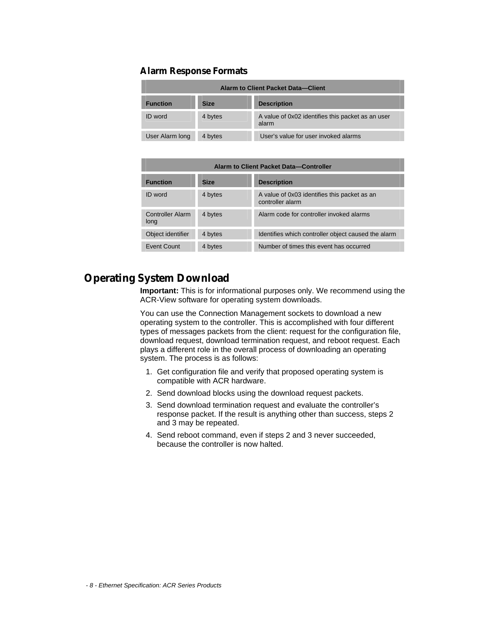#### **Alarm Response Formats**

| <b>Alarm to Client Packet Data-Client</b> |             |                                                            |
|-------------------------------------------|-------------|------------------------------------------------------------|
| <b>Function</b>                           | <b>Size</b> | <b>Description</b>                                         |
| ID word                                   | 4 bytes     | A value of 0x02 identifies this packet as an user<br>alarm |
| User Alarm long                           | 4 bytes     | User's value for user invoked alarms                       |

| Alarm to Client Packet Data-Controller |             |                                                                  |
|----------------------------------------|-------------|------------------------------------------------------------------|
| <b>Function</b>                        | <b>Size</b> | <b>Description</b>                                               |
| ID word                                | 4 bytes     | A value of 0x03 identifies this packet as an<br>controller alarm |
| <b>Controller Alarm</b><br>long        | 4 bytes     | Alarm code for controller invoked alarms                         |
| Object identifier                      | 4 bytes     | Identifies which controller object caused the alarm              |
| Event Count                            | 4 bytes     | Number of times this event has occurred                          |

## **Operating System Download**

**Important:** This is for informational purposes only. We recommend using the ACR-View software for operating system downloads.

You can use the Connection Management sockets to download a new operating system to the controller. This is accomplished with four different types of messages packets from the client: request for the configuration file, download request, download termination request, and reboot request. Each plays a different role in the overall process of downloading an operating system. The process is as follows:

- 1. Get configuration file and verify that proposed operating system is compatible with ACR hardware.
- 2. Send download blocks using the download request packets.
- 3. Send download termination request and evaluate the controller's response packet. If the result is anything other than success, steps 2 and 3 may be repeated.
- 4. Send reboot command, even if steps 2 and 3 never succeeded, because the controller is now halted.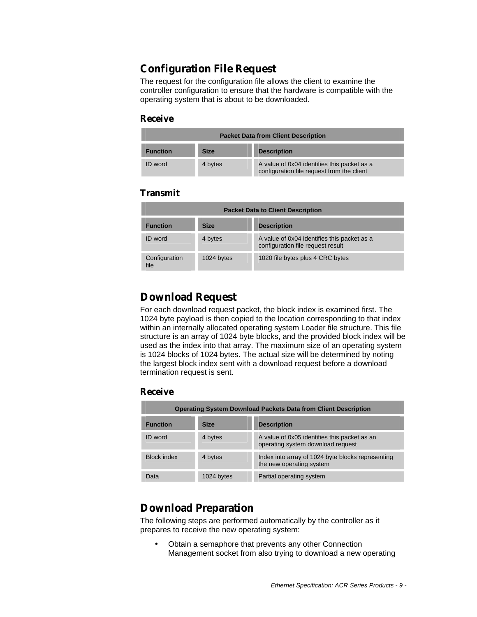## **Configuration File Request**

The request for the configuration file allows the client to examine the controller configuration to ensure that the hardware is compatible with the operating system that is about to be downloaded.

#### **Receive**

| <b>Packet Data from Client Description</b> |             |                                                                                           |
|--------------------------------------------|-------------|-------------------------------------------------------------------------------------------|
| <b>Function</b>                            | <b>Size</b> | <b>Description</b>                                                                        |
| <b>ID</b> word                             | 4 bytes     | A value of 0x04 identifies this packet as a<br>configuration file request from the client |

#### **Transmit**

| <b>Packet Data to Client Description</b> |             |                                                                                  |
|------------------------------------------|-------------|----------------------------------------------------------------------------------|
| <b>Function</b>                          | <b>Size</b> | <b>Description</b>                                                               |
| ID word                                  | 4 bytes     | A value of 0x04 identifies this packet as a<br>configuration file request result |
| Configuration<br>file                    | 1024 bytes  | 1020 file bytes plus 4 CRC bytes                                                 |

## **Download Request**

For each download request packet, the block index is examined first. The 1024 byte payload is then copied to the location corresponding to that index within an internally allocated operating system Loader file structure. This file structure is an array of 1024 byte blocks, and the provided block index will be used as the index into that array. The maximum size of an operating system is 1024 blocks of 1024 bytes. The actual size will be determined by noting the largest block index sent with a download request before a download termination request is sent.

### **Receive**

| <b>Operating System Download Packets Data from Client Description</b> |             |                                                                                   |
|-----------------------------------------------------------------------|-------------|-----------------------------------------------------------------------------------|
| <b>Function</b>                                                       | <b>Size</b> | <b>Description</b>                                                                |
| ID word                                                               | 4 bytes     | A value of 0x05 identifies this packet as an<br>operating system download request |
| <b>Block index</b>                                                    | 4 bytes     | Index into array of 1024 byte blocks representing<br>the new operating system     |
| Data                                                                  | 1024 bytes  | Partial operating system                                                          |

## **Download Preparation**

The following steps are performed automatically by the controller as it prepares to receive the new operating system:

• Obtain a semaphore that prevents any other Connection Management socket from also trying to download a new operating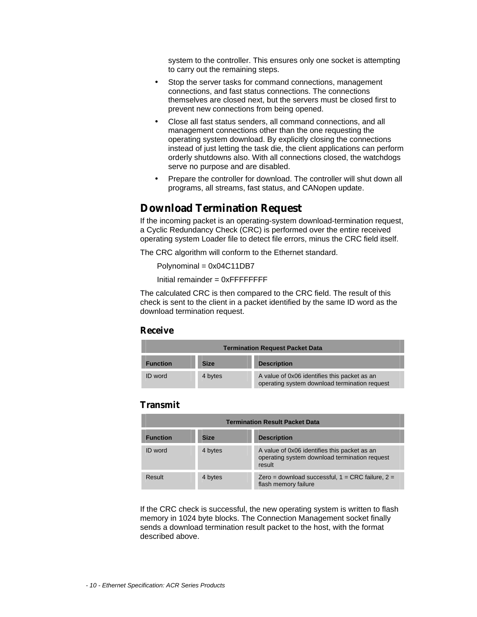system to the controller. This ensures only one socket is attempting to carry out the remaining steps.

- Stop the server tasks for command connections, management connections, and fast status connections. The connections themselves are closed next, but the servers must be closed first to prevent new connections from being opened.
- Close all fast status senders, all command connections, and all management connections other than the one requesting the operating system download. By explicitly closing the connections instead of just letting the task die, the client applications can perform orderly shutdowns also. With all connections closed, the watchdogs serve no purpose and are disabled.
- Prepare the controller for download. The controller will shut down all programs, all streams, fast status, and CANopen update.

## **Download Termination Request**

If the incoming packet is an operating-system download-termination request, a Cyclic Redundancy Check (CRC) is performed over the entire received operating system Loader file to detect file errors, minus the CRC field itself.

The CRC algorithm will conform to the Ethernet standard.

Polynominal = 0x04C11DB7

 $Initial$  remainder =  $0x$ FFFFFFFF

The calculated CRC is then compared to the CRC field. The result of this check is sent to the client in a packet identified by the same ID word as the download termination request.

#### **Receive**

| <b>Termination Request Packet Data</b> |             |                                                                                               |
|----------------------------------------|-------------|-----------------------------------------------------------------------------------------------|
| <b>Function</b>                        | <b>Size</b> | <b>Description</b>                                                                            |
| ID word                                | 4 bytes     | A value of 0x06 identifies this packet as an<br>operating system download termination request |

#### **Transmit**

| <b>Termination Result Packet Data</b> |             |                                                                                                         |
|---------------------------------------|-------------|---------------------------------------------------------------------------------------------------------|
| <b>Function</b>                       | <b>Size</b> | <b>Description</b>                                                                                      |
| <b>ID</b> word                        | 4 bytes     | A value of 0x06 identifies this packet as an<br>operating system download termination request<br>result |
| Result                                | 4 bytes     | Zero = download successful, $1 = CRC$ failure, $2 =$<br>flash memory failure                            |

If the CRC check is successful, the new operating system is written to flash memory in 1024 byte blocks. The Connection Management socket finally sends a download termination result packet to the host, with the format described above.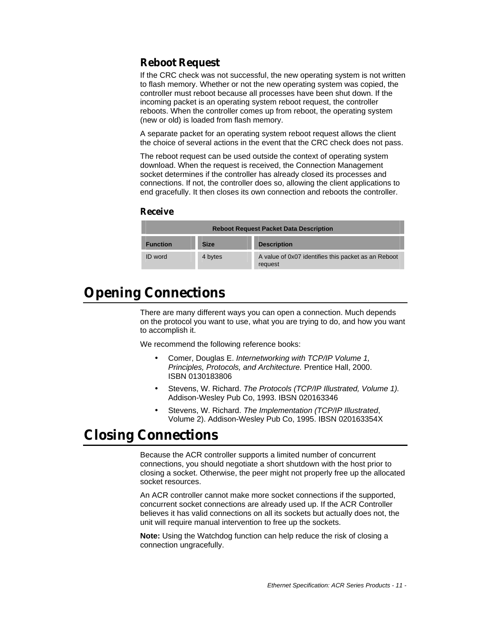## **Reboot Request**

If the CRC check was not successful, the new operating system is not written to flash memory. Whether or not the new operating system was copied, the controller must reboot because all processes have been shut down. If the incoming packet is an operating system reboot request, the controller reboots. When the controller comes up from reboot, the operating system (new or old) is loaded from flash memory.

A separate packet for an operating system reboot request allows the client the choice of several actions in the event that the CRC check does not pass.

The reboot request can be used outside the context of operating system download. When the request is received, the Connection Management socket determines if the controller has already closed its processes and connections. If not, the controller does so, allowing the client applications to end gracefully. It then closes its own connection and reboots the controller.

#### **Receive**

| <b>Reboot Request Packet Data Description</b> |             |                                                                |
|-----------------------------------------------|-------------|----------------------------------------------------------------|
| <b>Function</b>                               | <b>Size</b> | <b>Description</b>                                             |
| <b>ID</b> word                                | 4 bytes     | A value of 0x07 identifies this packet as an Reboot<br>request |

# **Opening Connections**

There are many different ways you can open a connection. Much depends on the protocol you want to use, what you are trying to do, and how you want to accomplish it.

We recommend the following reference books:

- Comer, Douglas E. *Internetworking with TCP/IP Volume 1, Principles, Protocols, and Architecture.* Prentice Hall, 2000. ISBN 0130183806
- Stevens, W. Richard. *The Protocols (TCP/IP Illustrated, Volume 1).* Addison-Wesley Pub Co, 1993. IBSN 020163346
- Stevens, W. Richard. *The Implementation (TCP/IP Illustrated*, Volume 2). Addison-Wesley Pub Co, 1995. IBSN 020163354X

# **Closing Connections**

Because the ACR controller supports a limited number of concurrent connections, you should negotiate a short shutdown with the host prior to closing a socket. Otherwise, the peer might not properly free up the allocated socket resources.

An ACR controller cannot make more socket connections if the supported, concurrent socket connections are already used up. If the ACR Controller believes it has valid connections on all its sockets but actually does not, the unit will require manual intervention to free up the sockets.

**Note:** Using the Watchdog function can help reduce the risk of closing a connection ungracefully.